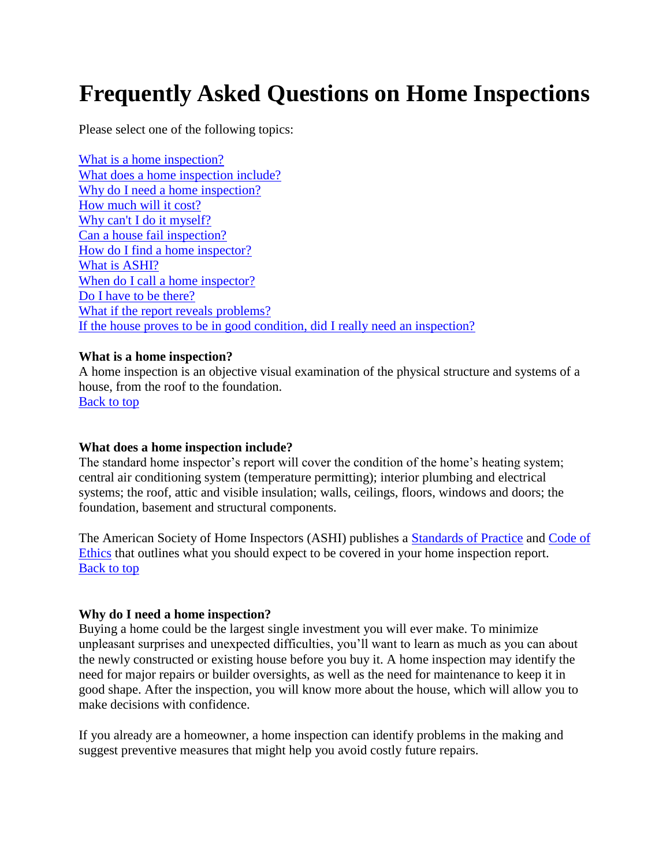# **Frequently Asked Questions on Home Inspections**

Please select one of the following topics:

[What is a home inspection?](http://www.ashi.org/customers/faq.asp#1) [What does a home inspection include?](http://www.ashi.org/customers/faq.asp#2) [Why do I need a home inspection?](http://www.ashi.org/customers/faq.asp#3) [How much will it cost?](http://www.ashi.org/customers/faq.asp#4) [Why can't I do it myself?](http://www.ashi.org/customers/faq.asp#5) [Can a house fail inspection?](http://www.ashi.org/customers/faq.asp#6) [How do I find a home inspector?](http://www.ashi.org/customers/faq.asp#7) [What is ASHI?](http://www.ashi.org/customers/faq.asp#8) [When do I call a home inspector?](http://www.ashi.org/customers/faq.asp#10) [Do I have to be there?](http://www.ashi.org/customers/faq.asp#11) [What if the report reveals problems?](http://www.ashi.org/customers/faq.asp#12) [If the house proves to be in good condition, did I really need an inspection?](http://www.ashi.org/customers/faq.asp#13)

### **What is a home inspection?**

A home inspection is an objective visual examination of the physical structure and systems of a house, from the roof to the foundation.

[Back to top](http://www.ashi.org/customers/faq.asp#top)

# **What does a home inspection include?**

The standard home inspector's report will cover the condition of the home's heating system; central air conditioning system (temperature permitting); interior plumbing and electrical systems; the roof, attic and visible insulation; walls, ceilings, floors, windows and doors; the foundation, basement and structural components.

The American Society of Home Inspectors (ASHI) publishes a [Standards of Practice](http://www.ashi.org/inspectors/standards/standards.asp) and [Code of](http://www.ashi.org/inspectors/ethics.asp)  [Ethics](http://www.ashi.org/inspectors/ethics.asp) that outlines what you should expect to be covered in your home inspection report. [Back to top](http://www.ashi.org/customers/faq.asp#top)

# **Why do I need a home inspection?**

Buying a home could be the largest single investment you will ever make. To minimize unpleasant surprises and unexpected difficulties, you'll want to learn as much as you can about the newly constructed or existing house before you buy it. A home inspection may identify the need for major repairs or builder oversights, as well as the need for maintenance to keep it in good shape. After the inspection, you will know more about the house, which will allow you to make decisions with confidence.

If you already are a homeowner, a home inspection can identify problems in the making and suggest preventive measures that might help you avoid costly future repairs.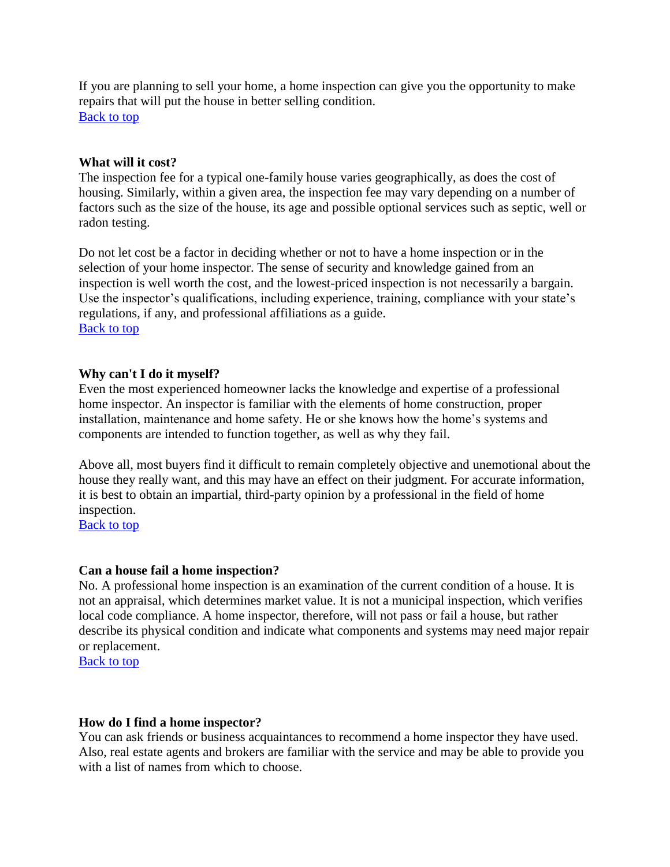If you are planning to sell your home, a home inspection can give you the opportunity to make repairs that will put the house in better selling condition. [Back to top](http://www.ashi.org/customers/faq.asp#top)

## **What will it cost?**

The inspection fee for a typical one-family house varies geographically, as does the cost of housing. Similarly, within a given area, the inspection fee may vary depending on a number of factors such as the size of the house, its age and possible optional services such as septic, well or radon testing.

Do not let cost be a factor in deciding whether or not to have a home inspection or in the selection of your home inspector. The sense of security and knowledge gained from an inspection is well worth the cost, and the lowest-priced inspection is not necessarily a bargain. Use the inspector's qualifications, including experience, training, compliance with your state's regulations, if any, and professional affiliations as a guide. [Back to top](http://www.ashi.org/customers/faq.asp#top)

## **Why can't I do it myself?**

Even the most experienced homeowner lacks the knowledge and expertise of a professional home inspector. An inspector is familiar with the elements of home construction, proper installation, maintenance and home safety. He or she knows how the home's systems and components are intended to function together, as well as why they fail.

Above all, most buyers find it difficult to remain completely objective and unemotional about the house they really want, and this may have an effect on their judgment. For accurate information, it is best to obtain an impartial, third-party opinion by a professional in the field of home inspection.

[Back to top](http://www.ashi.org/customers/faq.asp#top)

### **Can a house fail a home inspection?**

No. A professional home inspection is an examination of the current condition of a house. It is not an appraisal, which determines market value. It is not a municipal inspection, which verifies local code compliance. A home inspector, therefore, will not pass or fail a house, but rather describe its physical condition and indicate what components and systems may need major repair or replacement.

[Back to top](http://www.ashi.org/customers/faq.asp#top)

### **How do I find a home inspector?**

You can ask friends or business acquaintances to recommend a home inspector they have used. Also, real estate agents and brokers are familiar with the service and may be able to provide you with a list of names from which to choose.